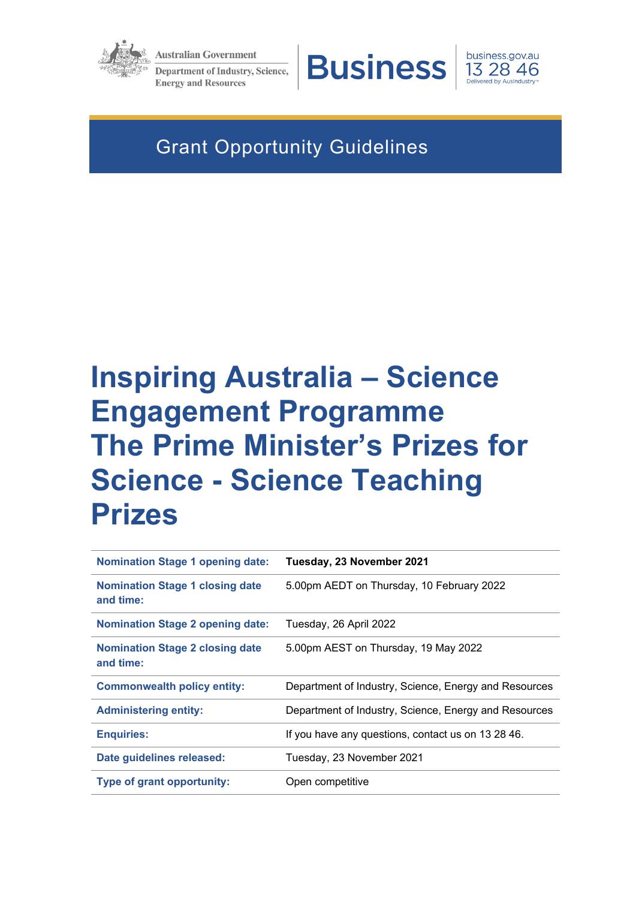

**Australian Government Department of Industry, Science, Energy and Resources** 



business.gov.au 13 28 46

# Grant Opportunity Guidelines

# **Inspiring Australia – Science Engagement Programme The Prime Minister's Prizes for Science - Science Teaching Prizes**

| <b>Nomination Stage 1 opening date:</b>             | Tuesday, 23 November 2021                             |
|-----------------------------------------------------|-------------------------------------------------------|
| <b>Nomination Stage 1 closing date</b><br>and time: | 5.00pm AEDT on Thursday, 10 February 2022             |
| <b>Nomination Stage 2 opening date:</b>             | Tuesday, 26 April 2022                                |
| <b>Nomination Stage 2 closing date</b><br>and time: | 5.00pm AEST on Thursday, 19 May 2022                  |
| <b>Commonwealth policy entity:</b>                  | Department of Industry, Science, Energy and Resources |
| <b>Administering entity:</b>                        | Department of Industry, Science, Energy and Resources |
| <b>Enquiries:</b>                                   | If you have any questions, contact us on 13 28 46.    |
| Date guidelines released:                           | Tuesday, 23 November 2021                             |
| Type of grant opportunity:                          | Open competitive                                      |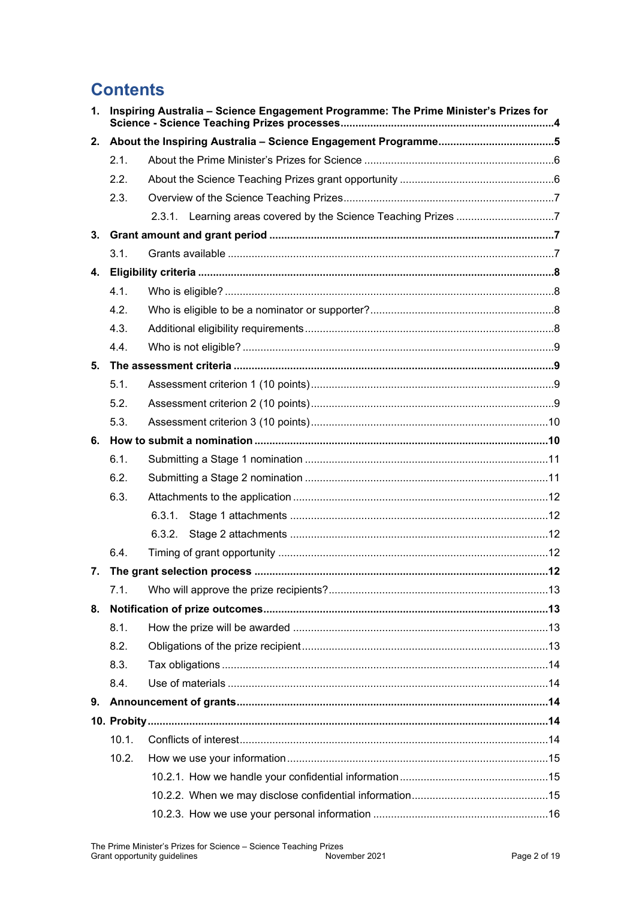# **Contents**

| $\mathbf{1}$ . | Inspiring Australia - Science Engagement Programme: The Prime Minister's Prizes for |        |  |
|----------------|-------------------------------------------------------------------------------------|--------|--|
| 2.             |                                                                                     |        |  |
|                | 2.1.                                                                                |        |  |
|                | 2.2.                                                                                |        |  |
|                | 2.3.                                                                                |        |  |
|                |                                                                                     |        |  |
| 3.             |                                                                                     |        |  |
|                | 3.1.                                                                                |        |  |
| 4.             |                                                                                     |        |  |
|                | 4.1.                                                                                |        |  |
|                | 4.2.                                                                                |        |  |
|                | 4.3.                                                                                |        |  |
|                | 4.4.                                                                                |        |  |
| 5.             |                                                                                     |        |  |
|                | 5.1.                                                                                |        |  |
|                | 5.2.                                                                                |        |  |
|                | 5.3.                                                                                |        |  |
|                |                                                                                     |        |  |
|                | 6.1.                                                                                |        |  |
|                | 6.2.                                                                                |        |  |
|                | 6.3.                                                                                |        |  |
|                |                                                                                     | 6.3.1. |  |
|                |                                                                                     | 6.3.2. |  |
|                | 6.4.                                                                                |        |  |
| 7.             |                                                                                     |        |  |
|                | 7.1.                                                                                |        |  |
|                |                                                                                     |        |  |
|                | 8.1.                                                                                |        |  |
|                | 8.2.                                                                                |        |  |
|                | 8.3.                                                                                |        |  |
|                | 8.4.                                                                                |        |  |
| 9.             |                                                                                     |        |  |
|                |                                                                                     |        |  |
|                | 10.1.                                                                               |        |  |
|                | 10.2.                                                                               |        |  |
|                |                                                                                     |        |  |
|                |                                                                                     |        |  |
|                |                                                                                     |        |  |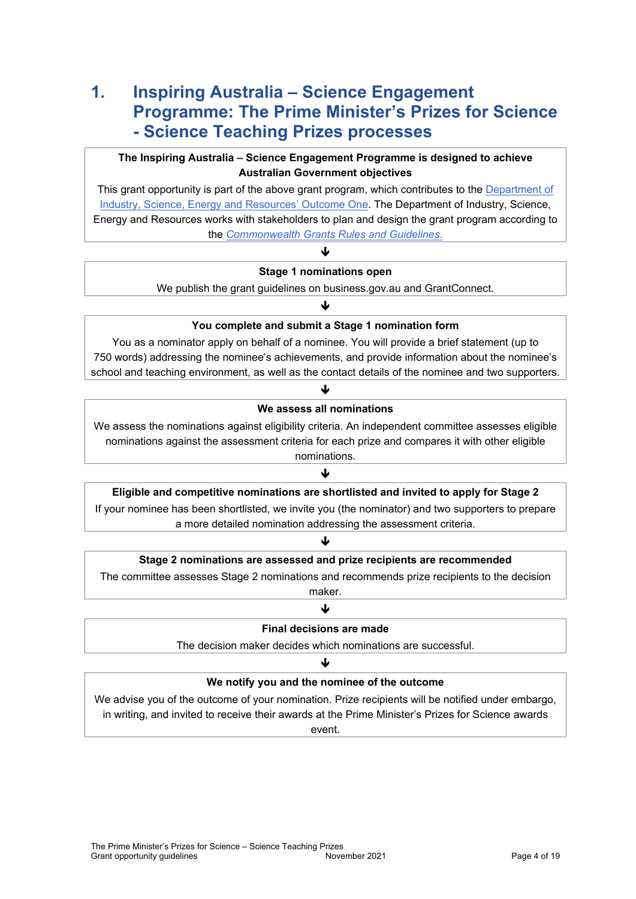# <span id="page-3-0"></span>**1. Inspiring Australia – Science Engagement Programme: The Prime Minister's Prizes for Science - Science Teaching Prizes processes**

# **The Inspiring Australia – Science Engagement Programme is designed to achieve Australian Government objectives**

This grant opportunity is part of the above grant program, which contributes to the Department of [Industry, Science, Energy and Resources' Outcome One.](https://www.industry.gov.au/sites/default/files/2019-04/2019-20-department-of-industry-innovation-and-science-pbs.pdf) The Department of Industry, Science, Energy and Resources works with stakeholders to plan and design the grant program according to the *[Commonwealth Grants Rules and Guidelines](https://www.finance.gov.au/government/commonwealth-grants/commonwealth-grants-rules-guidelines)*.

# ♦ **Stage 1 nominations open**

We publish the grant guidelines on business.gov.au and GrantConnect.

# ♦ **You complete and submit a Stage 1 nomination form**

You as a nominator apply on behalf of a nominee. You will provide a brief statement (up to 750 words) addressing the nominee's achievements, and provide information about the nominee's school and teaching environment, as well as the contact details of the nominee and two supporters.

# ↓ **We assess all nominations**

We assess the nominations against eligibility criteria. An independent committee assesses eligible nominations against the assessment criteria for each prize and compares it with other eligible nominations.

#### $\mathbf{L}$

#### **Eligible and competitive nominations are shortlisted and invited to apply for Stage 2**

If your nominee has been shortlisted, we invite you (the nominator) and two supporters to prepare a more detailed nomination addressing the assessment criteria.

#### J

# **Stage 2 nominations are assessed and prize recipients are recommended**

The committee assesses Stage 2 nominations and recommends prize recipients to the decision maker.

#### ↓

#### **Final decisions are made**

The decision maker decides which nominations are successful.

#### ♦

# **We notify you and the nominee of the outcome**

We advise you of the outcome of your nomination. Prize recipients will be notified under embargo, in writing, and invited to receive their awards at the Prime Minister's Prizes for Science awards event.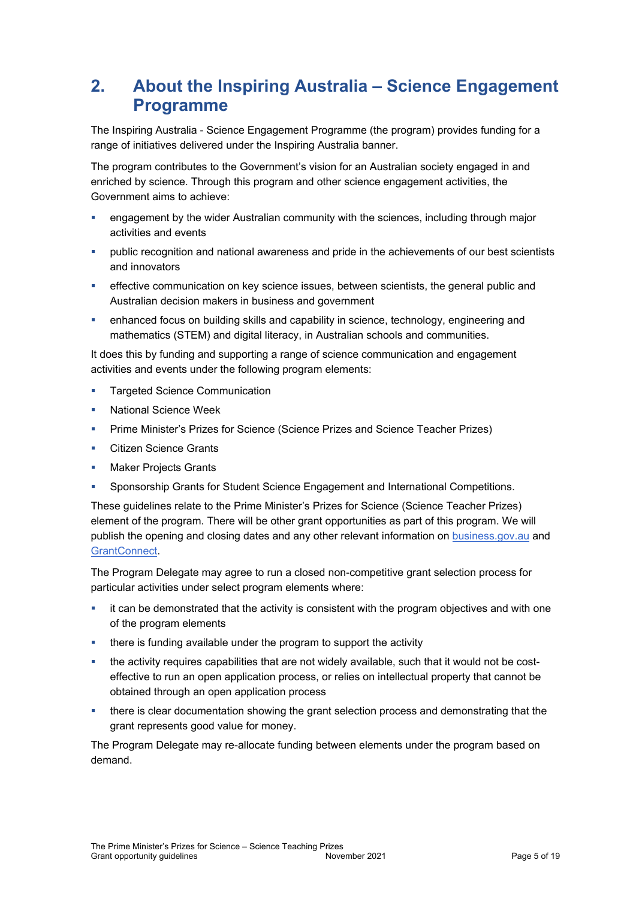# <span id="page-4-0"></span>**2. About the Inspiring Australia – Science Engagement Programme**

The Inspiring Australia - Science Engagement Programme (the program) provides funding for a range of initiatives delivered under the Inspiring Australia banner.

The program contributes to the Government's vision for an Australian society engaged in and enriched by science. Through this program and other science engagement activities, the Government aims to achieve:

- engagement by the wider Australian community with the sciences, including through major activities and events
- public recognition and national awareness and pride in the achievements of our best scientists and innovators
- **EXECT** effective communication on key science issues, between scientists, the general public and Australian decision makers in business and government
- enhanced focus on building skills and capability in science, technology, engineering and mathematics (STEM) and digital literacy, in Australian schools and communities.

It does this by funding and supporting a range of science communication and engagement activities and events under the following program elements:

- **Targeted Science Communication**
- National Science Week
- Prime Minister's Prizes for Science (Science Prizes and Science Teacher Prizes)
- **Citizen Science Grants**
- Maker Projects Grants
- Sponsorship Grants for Student Science Engagement and International Competitions.

These guidelines relate to the Prime Minister's Prizes for Science (Science Teacher Prizes) element of the program. There will be other grant opportunities as part of this program. We will publish the opening and closing dates and any other relevant information on [business.gov.au](https://www.business.gov.au/) and [GrantConnect](https://www.grants.gov.au/).

The Program Delegate may agree to run a closed non-competitive grant selection process for particular activities under select program elements where:

- it can be demonstrated that the activity is consistent with the program objectives and with one of the program elements
- **there is funding available under the program to support the activity**
- the activity requires capabilities that are not widely available, such that it would not be costeffective to run an open application process, or relies on intellectual property that cannot be obtained through an open application process
- there is clear documentation showing the grant selection process and demonstrating that the grant represents good value for money.

The Program Delegate may re-allocate funding between elements under the program based on demand.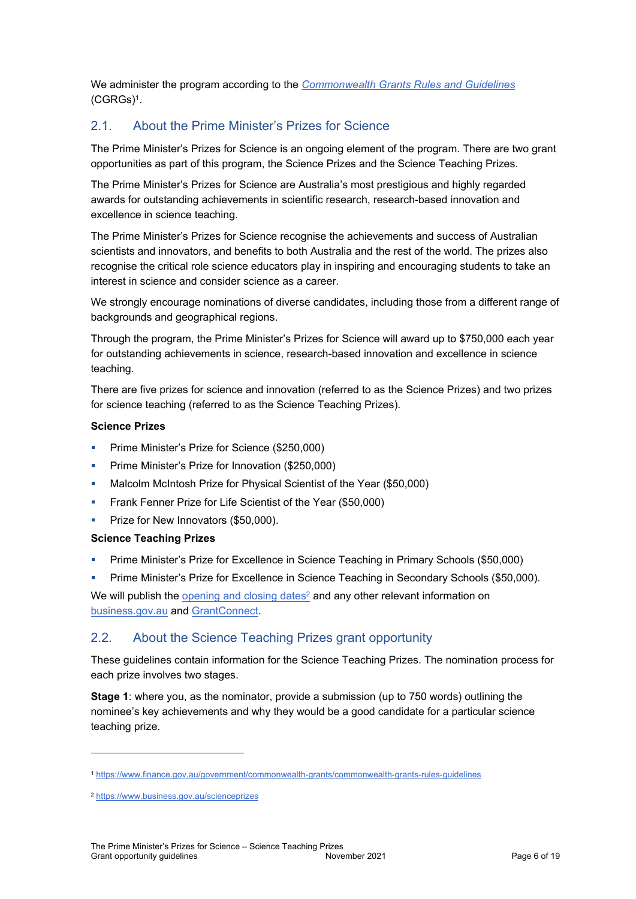We administer the program according to the *[Commonwealth Grants Rules and Guidelines](https://www.finance.gov.au/government/commonwealth-grants/commonwealth-grants-rules-guidelines)* [\(CGRGs\)](https://www.finance.gov.au/government/commonwealth-grants/commonwealth-grants-rules-guidelines)<sup>1</sup> .

# <span id="page-5-0"></span>2.1. About the Prime Minister's Prizes for Science

The Prime Minister's Prizes for Science is an ongoing element of the program. There are two grant opportunities as part of this program, the Science Prizes and the Science Teaching Prizes.

The Prime Minister's Prizes for Science are Australia's most prestigious and highly regarded awards for outstanding achievements in scientific research, research-based innovation and excellence in science teaching.

The Prime Minister's Prizes for Science recognise the achievements and success of Australian scientists and innovators, and benefits to both Australia and the rest of the world. The prizes also recognise the critical role science educators play in inspiring and encouraging students to take an interest in science and consider science as a career.

We strongly encourage nominations of diverse candidates, including those from a different range of backgrounds and geographical regions.

Through the program, the Prime Minister's Prizes for Science will award up to \$750,000 each year for outstanding achievements in science, research-based innovation and excellence in science teaching.

There are five prizes for science and innovation (referred to as the Science Prizes) and two prizes for science teaching (referred to as the Science Teaching Prizes).

#### **Science Prizes**

- Prime Minister's Prize for Science (\$250,000)
- **Prime Minister's Prize for Innovation (\$250,000)**
- **Malcolm McIntosh Prize for Physical Scientist of the Year (\$50,000)**
- **Figure 1** Frank Fenner Prize for Life Scientist of the Year (\$50,000)
- **Prize for New Innovators (\$50,000).**

#### **Science Teaching Prizes**

- Prime Minister's Prize for Excellence in Science Teaching in Primary Schools (\$50,000)
- Prime Minister's Prize for Excellence in Science Teaching in Secondary Schools (\$50,000).

We will publish the  $\rm opening$  and  $\rm closing$  dates $^2$  and any other relevant information on [business.gov.au](https://www.business.gov.au/) and [GrantConnect.](https://www.grants.gov.au/)

# <span id="page-5-1"></span>2.2. About the Science Teaching Prizes grant opportunity

These guidelines contain information for the Science Teaching Prizes. The nomination process for each prize involves two stages.

**Stage 1**: where you, as the nominator, provide a submission (up to 750 words) outlining the nominee's key achievements and why they would be a good candidate for a particular science teaching prize.

<sup>1</sup> <https://www.finance.gov.au/government/commonwealth-grants/commonwealth-grants-rules-guidelines>

<sup>2</sup> <https://www.business.gov.au/scienceprizes>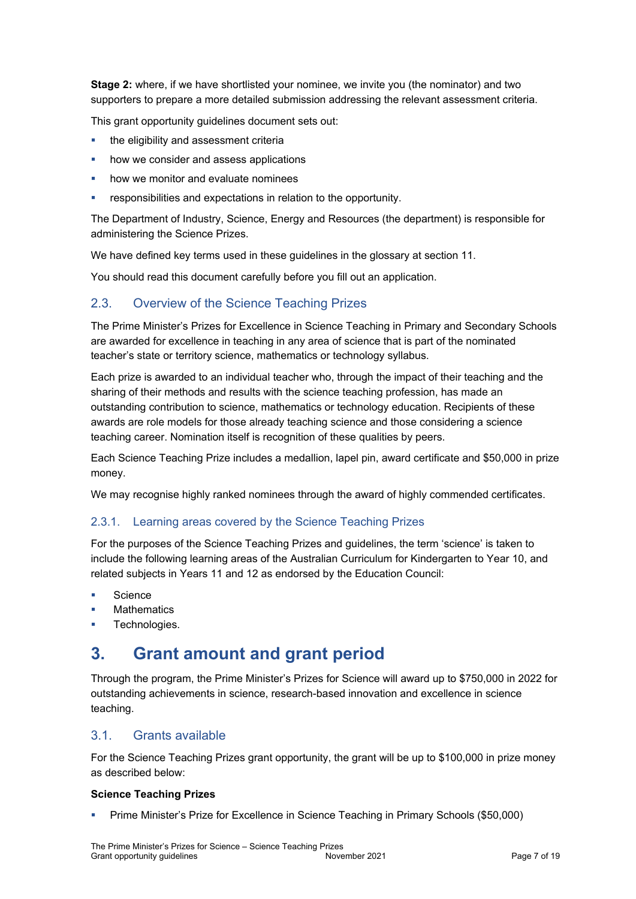**Stage 2:** where, if we have shortlisted your nominee, we invite you (the nominator) and two supporters to prepare a more detailed submission addressing the relevant assessment criteria.

This grant opportunity guidelines document sets out:

- the eligibility and assessment criteria
- how we consider and assess applications
- how we monitor and evaluate nominees
- responsibilities and expectations in relation to the opportunity.

The Department of Industry, Science, Energy and Resources (the department) is responsible for administering the Science Prizes.

We have defined key terms used in these guidelines in the glossary at section 11.

You should read this document carefully before you fill out an application.

# <span id="page-6-0"></span>2.3. Overview of the Science Teaching Prizes

The Prime Minister's Prizes for Excellence in Science Teaching in Primary and Secondary Schools are awarded for excellence in teaching in any area of science that is part of the nominated teacher's state or territory science, mathematics or technology syllabus.

Each prize is awarded to an individual teacher who, through the impact of their teaching and the sharing of their methods and results with the science teaching profession, has made an outstanding contribution to science, mathematics or technology education. Recipients of these awards are role models for those already teaching science and those considering a science teaching career. Nomination itself is recognition of these qualities by peers.

Each Science Teaching Prize includes a medallion, lapel pin, award certificate and \$50,000 in prize money.

We may recognise highly ranked nominees through the award of highly commended certificates.

# <span id="page-6-1"></span>2.3.1. Learning areas covered by the Science Teaching Prizes

For the purposes of the Science Teaching Prizes and guidelines, the term 'science' is taken to include the following learning areas of the Australian Curriculum for Kindergarten to Year 10, and related subjects in Years 11 and 12 as endorsed by the Education Council:

- Science
- **Mathematics**
- Technologies.

# <span id="page-6-2"></span>**3. Grant amount and grant period**

Through the program, the Prime Minister's Prizes for Science will award up to \$750,000 in 2022 for outstanding achievements in science, research-based innovation and excellence in science teaching.

# <span id="page-6-3"></span>3.1. Grants available

For the Science Teaching Prizes grant opportunity, the grant will be up to \$100,000 in prize money as described below:

#### **Science Teaching Prizes**

Prime Minister's Prize for Excellence in Science Teaching in Primary Schools (\$50,000)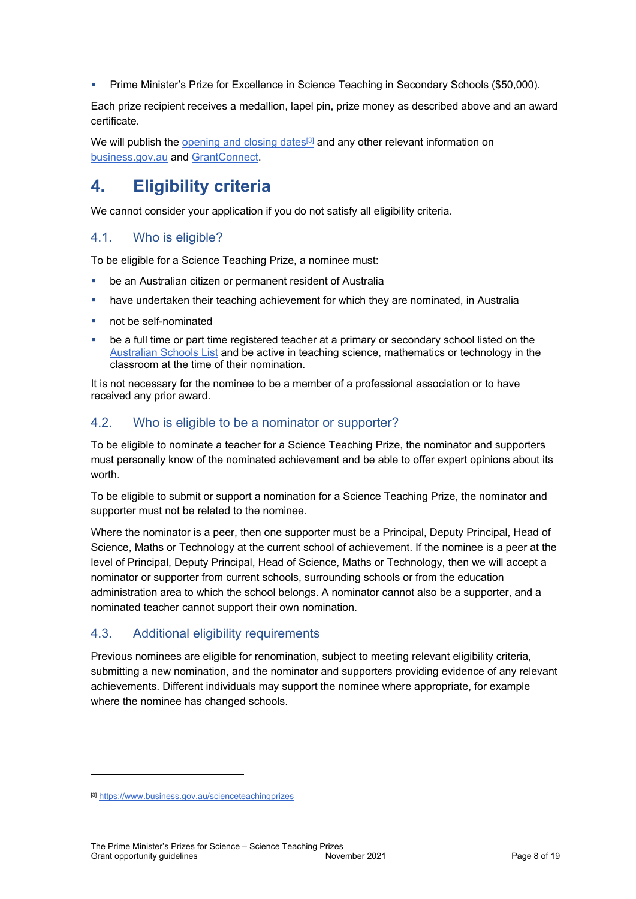Prime Minister's Prize for Excellence in Science Teaching in Secondary Schools (\$50,000).

Each prize recipient receives a medallion, lapel pin, prize money as described above and an award certificate.

We will publish the [opening and closing dates](https://www.business.gov.au/scienceteachingprizes)<sup>[3]</sup> and any other relevant information on [business.gov.au](https://www.business.gov.au/) and [GrantConnect.](https://www.grants.gov.au/)

# <span id="page-7-0"></span>**4. Eligibility criteria**

We cannot consider your application if you do not satisfy all eligibility criteria.

# <span id="page-7-1"></span>4.1. Who is eligible?

To be eligible for a Science Teaching Prize, a nominee must:

- be an Australian citizen or permanent resident of Australia
- have undertaken their teaching achievement for which they are nominated, in Australia
- not be self-nominated
- be a full time or part time registered teacher at a primary or secondary school listed on the [Australian Schools List](https://asl.acara.edu.au/) and be active in teaching science, mathematics or technology in the classroom at the time of their nomination.

It is not necessary for the nominee to be a member of a professional association or to have received any prior award.

# <span id="page-7-2"></span>4.2. Who is eligible to be a nominator or supporter?

To be eligible to nominate a teacher for a Science Teaching Prize, the nominator and supporters must personally know of the nominated achievement and be able to offer expert opinions about its worth.

To be eligible to submit or support a nomination for a Science Teaching Prize, the nominator and supporter must not be related to the nominee.

Where the nominator is a peer, then one supporter must be a Principal, Deputy Principal, Head of Science, Maths or Technology at the current school of achievement. If the nominee is a peer at the level of Principal, Deputy Principal, Head of Science, Maths or Technology, then we will accept a nominator or supporter from current schools, surrounding schools or from the education administration area to which the school belongs. A nominator cannot also be a supporter, and a nominated teacher cannot support their own nomination.

# <span id="page-7-3"></span>4.3. Additional eligibility requirements

Previous nominees are eligible for renomination, subject to meeting relevant eligibility criteria, submitting a new nomination, and the nominator and supporters providing evidence of any relevant achievements. Different individuals may support the nominee where appropriate, for example where the nominee has changed schools.

<sup>[3]</sup> <https://www.business.gov.au/scienceteachingprizes>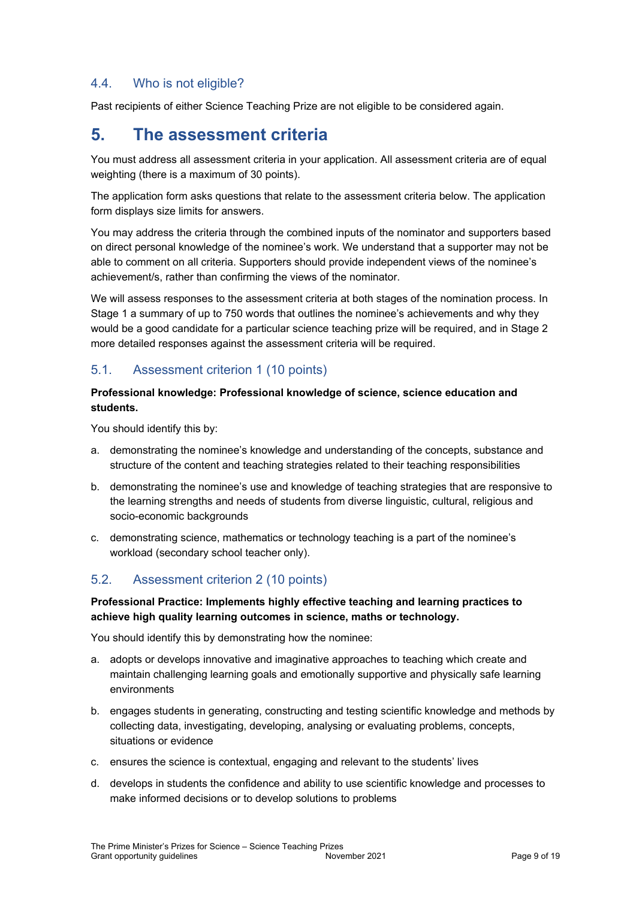# <span id="page-8-0"></span>4.4. Who is not eligible?

Past recipients of either Science Teaching Prize are not eligible to be considered again.

# <span id="page-8-1"></span>**5. The assessment criteria**

You must address all assessment criteria in your application. All assessment criteria are of equal weighting (there is a maximum of 30 points).

The application form asks questions that relate to the assessment criteria below. The application form displays size limits for answers.

You may address the criteria through the combined inputs of the nominator and supporters based on direct personal knowledge of the nominee's work. We understand that a supporter may not be able to comment on all criteria. Supporters should provide independent views of the nominee's achievement/s, rather than confirming the views of the nominator.

We will assess responses to the assessment criteria at both stages of the nomination process. In Stage 1 a summary of up to 750 words that outlines the nominee's achievements and why they would be a good candidate for a particular science teaching prize will be required, and in Stage 2 more detailed responses against the assessment criteria will be required.

# <span id="page-8-2"></span>5.1. Assessment criterion 1 (10 points)

### **Professional knowledge: Professional knowledge of science, science education and students.**

You should identify this by:

- a. demonstrating the nominee's knowledge and understanding of the concepts, substance and structure of the content and teaching strategies related to their teaching responsibilities
- b. demonstrating the nominee's use and knowledge of teaching strategies that are responsive to the learning strengths and needs of students from diverse linguistic, cultural, religious and socio-economic backgrounds
- c. demonstrating science, mathematics or technology teaching is a part of the nominee's workload (secondary school teacher only).

# <span id="page-8-3"></span>5.2. Assessment criterion 2 (10 points)

# **Professional Practice: Implements highly effective teaching and learning practices to achieve high quality learning outcomes in science, maths or technology.**

You should identify this by demonstrating how the nominee:

- a. adopts or develops innovative and imaginative approaches to teaching which create and maintain challenging learning goals and emotionally supportive and physically safe learning environments
- b. engages students in generating, constructing and testing scientific knowledge and methods by collecting data, investigating, developing, analysing or evaluating problems, concepts, situations or evidence
- c. ensures the science is contextual, engaging and relevant to the students' lives
- d. develops in students the confidence and ability to use scientific knowledge and processes to make informed decisions or to develop solutions to problems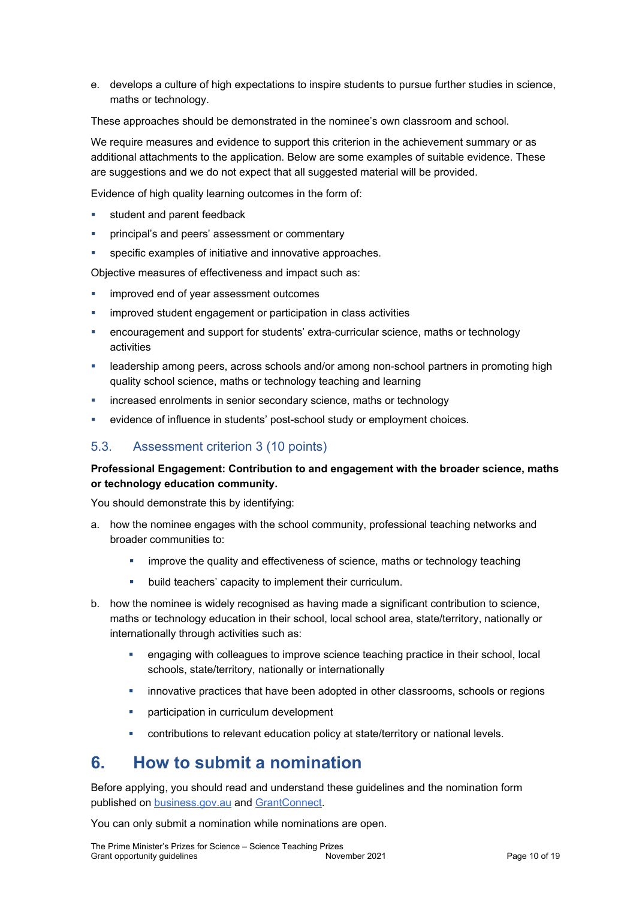e. develops a culture of high expectations to inspire students to pursue further studies in science, maths or technology.

These approaches should be demonstrated in the nominee's own classroom and school.

We require measures and evidence to support this criterion in the achievement summary or as additional attachments to the application. Below are some examples of suitable evidence. These are suggestions and we do not expect that all suggested material will be provided.

Evidence of high quality learning outcomes in the form of:

- student and parent feedback
- principal's and peers' assessment or commentary
- specific examples of initiative and innovative approaches.

Objective measures of effectiveness and impact such as:

- improved end of year assessment outcomes
- improved student engagement or participation in class activities
- encouragement and support for students' extra-curricular science, maths or technology activities
- **EXEDERSHIM** among peers, across schools and/or among non-school partners in promoting high quality school science, maths or technology teaching and learning
- increased enrolments in senior secondary science, maths or technology
- evidence of influence in students' post-school study or employment choices.

# <span id="page-9-0"></span>5.3. Assessment criterion 3 (10 points)

#### **Professional Engagement: Contribution to and engagement with the broader science, maths or technology education community.**

You should demonstrate this by identifying:

- a. how the nominee engages with the school community, professional teaching networks and broader communities to:
	- improve the quality and effectiveness of science, maths or technology teaching
	- **•** build teachers' capacity to implement their curriculum.
- b. how the nominee is widely recognised as having made a significant contribution to science, maths or technology education in their school, local school area, state/territory, nationally or internationally through activities such as:
	- engaging with colleagues to improve science teaching practice in their school, local schools, state/territory, nationally or internationally
	- innovative practices that have been adopted in other classrooms, schools or regions
	- **•** participation in curriculum development
	- contributions to relevant education policy at state/territory or national levels.

# <span id="page-9-1"></span>**6. How to submit a nomination**

Before applying, you should read and understand these guidelines and the nomination form published on [business.gov.au](https://www.business.gov.au/) and [GrantConnect](https://www.grants.gov.au/).

You can only submit a nomination while nominations are open.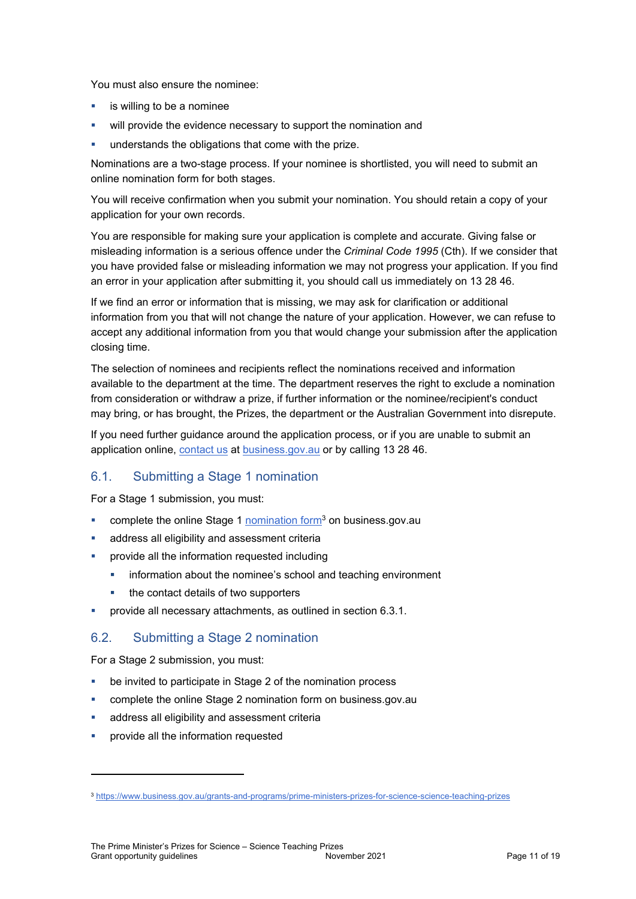You must also ensure the nominee:

- $\blacksquare$  is willing to be a nominee
- will provide the evidence necessary to support the nomination and
- understands the obligations that come with the prize.

Nominations are a two-stage process. If your nominee is shortlisted, you will need to submit an online nomination form for both stages.

You will receive confirmation when you submit your nomination. You should retain a copy of your application for your own records.

You are responsible for making sure your application is complete and accurate. Giving false or misleading information is a serious offence under the *Criminal Code 1995* (Cth). If we consider that you have provided false or misleading information we may not progress your application. If you find an error in your application after submitting it, you should call us immediately on 13 28 46.

If we find an error or information that is missing, we may ask for clarification or additional information from you that will not change the nature of your application. However, we can refuse to accept any additional information from you that would change your submission after the application closing time.

The selection of nominees and recipients reflect the nominations received and information available to the department at the time. The department reserves the right to exclude a nomination from consideration or withdraw a prize, if further information or the nominee/recipient's conduct may bring, or has brought, the Prizes, the department or the Australian Government into disrepute.

If you need further guidance around the application process, or if you are unable to submit an application online, [contact us](https://www.business.gov.au/contact-us) at [business.gov.au](https://www.business.gov.au/) or by calling 13 28 46.

# <span id="page-10-0"></span>6.1. Submitting a Stage 1 nomination

For a Stage 1 submission, you must:

- complete the online Stage 1 [nomination form](https://business.gov.au/grants-and-programs/prime-ministers-prizes-for-science-science-teaching-prizes)<sup>3</sup> on business.gov.au
- address all eligibility and assessment criteria
- provide all the information requested including
	- **EXECT** information about the nominee's school and teaching environment
	- the contact details of two supporters
- provide all necessary attachments, as outlined in section [6.3.1](#page-11-1).

# <span id="page-10-1"></span>6.2. Submitting a Stage 2 nomination

For a Stage 2 submission, you must:

- be invited to participate in Stage 2 of the nomination process
- complete the online Stage 2 nomination form on business.gov.au
- address all eligibility and assessment criteria
- provide all the information requested

<sup>3</sup> <https://www.business.gov.au/grants-and-programs/prime-ministers-prizes-for-science-science-teaching-prizes>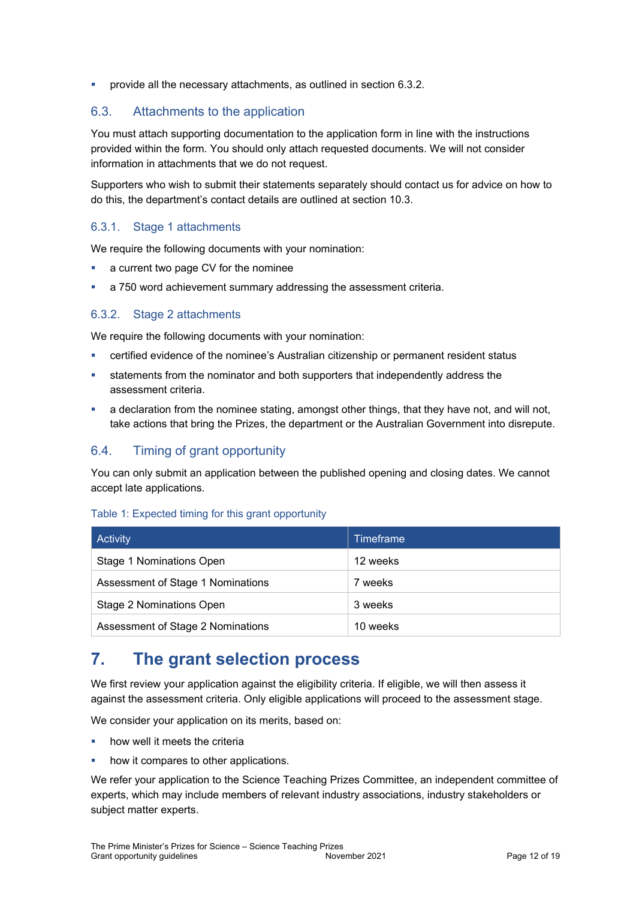provide all the necessary attachments, as outlined in section [6.3.2.](#page-11-2)

# <span id="page-11-0"></span>6.3. Attachments to the application

You must attach supporting documentation to the application form in line with the instructions provided within the form. You should only attach requested documents. We will not consider information in attachments that we do not request.

Supporters who wish to submit their statements separately should contact us for advice on how to do this, the department's contact details are outlined at section 10.3.

# <span id="page-11-1"></span>6.3.1. Stage 1 attachments

We require the following documents with your nomination:

- a current two page CV for the nominee
- a 750 word achievement summary addressing the assessment criteria.

#### <span id="page-11-2"></span>6.3.2. Stage 2 attachments

We require the following documents with your nomination:

- certified evidence of the nominee's Australian citizenship or permanent resident status
- statements from the nominator and both supporters that independently address the assessment criteria.
- a declaration from the nominee stating, amongst other things, that they have not, and will not, take actions that bring the Prizes, the department or the Australian Government into disrepute.

# <span id="page-11-3"></span>6.4. Timing of grant opportunity

You can only submit an application between the published opening and closing dates. We cannot accept late applications.

#### Table 1: Expected timing for this grant opportunity

| Activity                          | <b>Timeframe</b> |
|-----------------------------------|------------------|
| Stage 1 Nominations Open          | 12 weeks         |
| Assessment of Stage 1 Nominations | 7 weeks          |
| Stage 2 Nominations Open          | 3 weeks          |
| Assessment of Stage 2 Nominations | 10 weeks         |

# <span id="page-11-4"></span>**7. The grant selection process**

We first review your application against the eligibility criteria. If eligible, we will then assess it against the assessment criteria. Only eligible applications will proceed to the assessment stage.

We consider your application on its merits, based on:

- how well it meets the criteria
- how it compares to other applications.

We refer your application to the Science Teaching Prizes Committee, an independent committee of experts, which may include members of relevant industry associations, industry stakeholders or subject matter experts.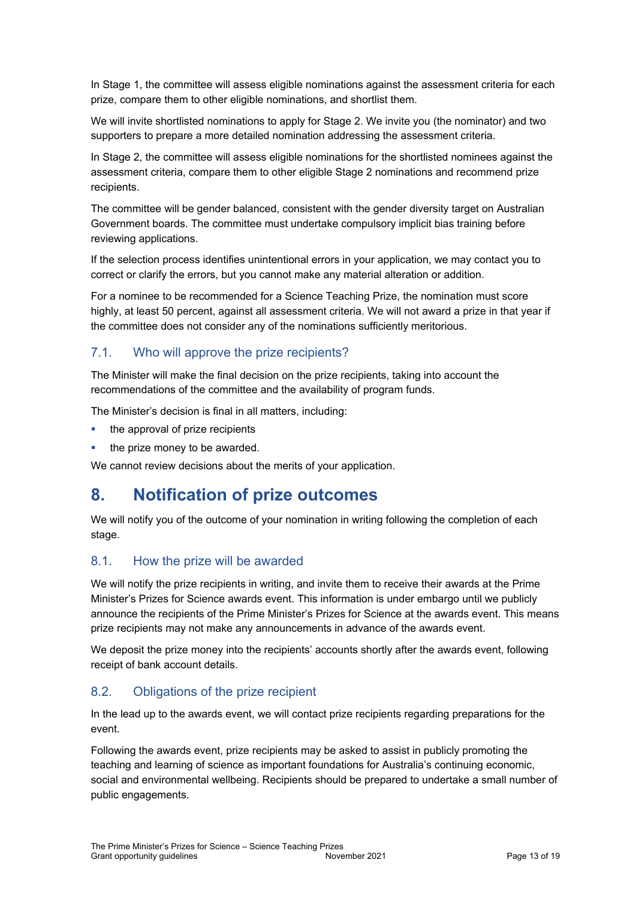In Stage 1, the committee will assess eligible nominations against the assessment criteria for each prize, compare them to other eligible nominations, and shortlist them.

We will invite shortlisted nominations to apply for Stage 2. We invite you (the nominator) and two supporters to prepare a more detailed nomination addressing the assessment criteria.

In Stage 2, the committee will assess eligible nominations for the shortlisted nominees against the assessment criteria, compare them to other eligible Stage 2 nominations and recommend prize recipients.

The committee will be gender balanced, consistent with the gender diversity target on Australian Government boards. The committee must undertake compulsory implicit bias training before reviewing applications.

If the selection process identifies unintentional errors in your application, we may contact you to correct or clarify the errors, but you cannot make any material alteration or addition.

For a nominee to be recommended for a Science Teaching Prize, the nomination must score highly, at least 50 percent, against all assessment criteria. We will not award a prize in that year if the committee does not consider any of the nominations sufficiently meritorious.

# <span id="page-12-0"></span>7.1. Who will approve the prize recipients?

The Minister will make the final decision on the prize recipients, taking into account the recommendations of the committee and the availability of program funds.

The Minister's decision is final in all matters, including:

- the approval of prize recipients
- the prize money to be awarded.

We cannot review decisions about the merits of your application.

# <span id="page-12-1"></span>**8. Notification of prize outcomes**

We will notify you of the outcome of your nomination in writing following the completion of each stage.

# <span id="page-12-2"></span>8.1. How the prize will be awarded

We will notify the prize recipients in writing, and invite them to receive their awards at the Prime Minister's Prizes for Science awards event. This information is under embargo until we publicly announce the recipients of the Prime Minister's Prizes for Science at the awards event. This means prize recipients may not make any announcements in advance of the awards event.

We deposit the prize money into the recipients' accounts shortly after the awards event, following receipt of bank account details.

# <span id="page-12-3"></span>8.2. Obligations of the prize recipient

In the lead up to the awards event, we will contact prize recipients regarding preparations for the event.

Following the awards event, prize recipients may be asked to assist in publicly promoting the teaching and learning of science as important foundations for Australia's continuing economic, social and environmental wellbeing. Recipients should be prepared to undertake a small number of public engagements.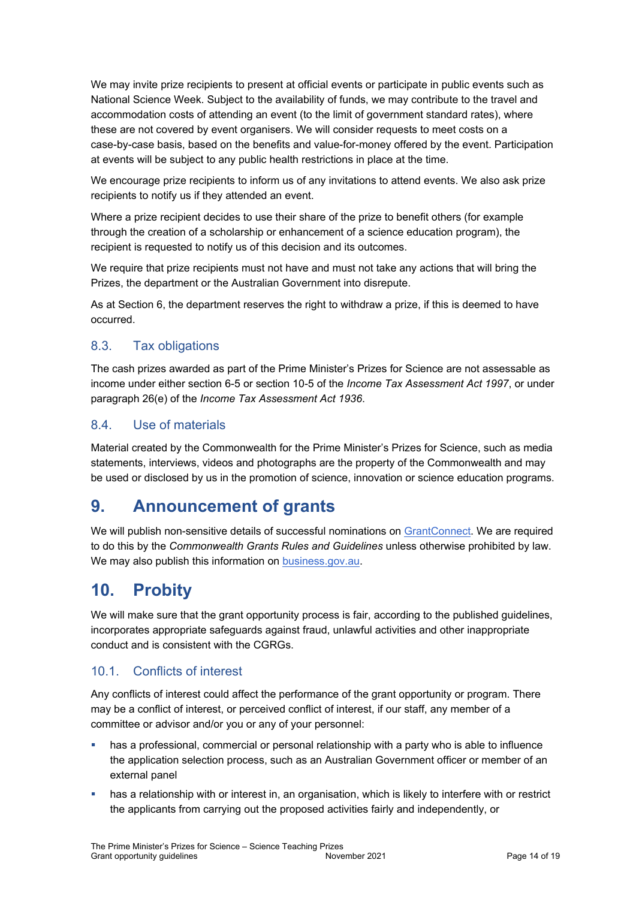We may invite prize recipients to present at official events or participate in public events such as National Science Week. Subject to the availability of funds, we may contribute to the travel and accommodation costs of attending an event (to the limit of government standard rates), where these are not covered by event organisers. We will consider requests to meet costs on a case-by-case basis, based on the benefits and value-for-money offered by the event. Participation at events will be subject to any public health restrictions in place at the time.

We encourage prize recipients to inform us of any invitations to attend events. We also ask prize recipients to notify us if they attended an event.

Where a prize recipient decides to use their share of the prize to benefit others (for example through the creation of a scholarship or enhancement of a science education program), the recipient is requested to notify us of this decision and its outcomes.

We require that prize recipients must not have and must not take any actions that will bring the Prizes, the department or the Australian Government into disrepute.

As at Section 6, the department reserves the right to withdraw a prize, if this is deemed to have occurred.

# <span id="page-13-0"></span>8.3. Tax obligations

The cash prizes awarded as part of the Prime Minister's Prizes for Science are not assessable as income under either section 6-5 or section 10-5 of the *Income Tax Assessment Act 1997*, or under paragraph 26(e) of the *Income Tax Assessment Act 1936*.

# <span id="page-13-1"></span>8.4. Use of materials

Material created by the Commonwealth for the Prime Minister's Prizes for Science, such as media statements, interviews, videos and photographs are the property of the Commonwealth and may be used or disclosed by us in the promotion of science, innovation or science education programs.

# <span id="page-13-2"></span>**9. Announcement of grants**

We will publish non-sensitive details of successful nominations on [GrantConnect.](http://www.grants.gov.au/) We are required to do this by the *Commonwealth Grants Rules and Guidelines* unless otherwise prohibited by law. We may also publish this information on [business.gov.au.](http://www.business.gov.au/)

# <span id="page-13-3"></span>**10. Probity**

We will make sure that the grant opportunity process is fair, according to the published guidelines, incorporates appropriate safeguards against fraud, unlawful activities and other inappropriate conduct and is consistent with the CGRGs.

# <span id="page-13-4"></span>10.1. Conflicts of interest

Any conflicts of interest could affect the performance of the grant opportunity or program. There may be a [conflict of interest,](http://www.apsc.gov.au/publications-and-media/current-publications/aps-values-and-code-of-conduct-in-practice/conflict-of-interest) or perceived conflict of interest, if our staff, any member of a committee or advisor and/or you or any of your personnel:

- has a professional, commercial or personal relationship with a party who is able to influence the application selection process, such as an Australian Government officer or member of an external panel
- has a relationship with or interest in, an organisation, which is likely to interfere with or restrict the applicants from carrying out the proposed activities fairly and independently, or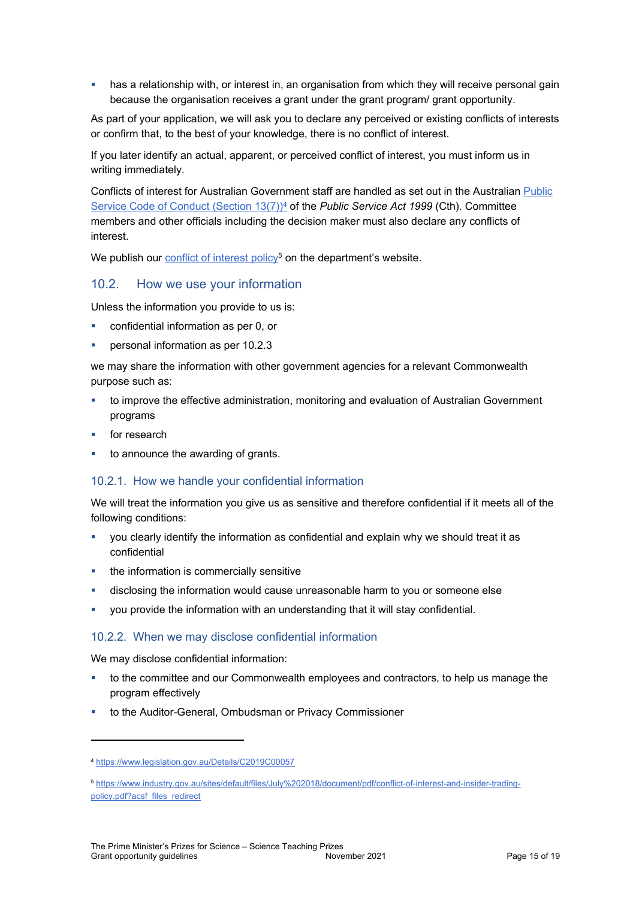has a relationship with, or interest in, an organisation from which they will receive personal gain because the organisation receives a grant under the grant program/ grant opportunity.

As part of your application, we will ask you to declare any perceived or existing conflicts of interests or confirm that, to the best of your knowledge, there is no conflict of interest.

If you later identify an actual, apparent, or perceived conflict of interest, you must inform us in writing immediately.

Conflicts of interest for Australian Government staff are handled as set out in the Australian [Public](https://www.legislation.gov.au/Details/C2019C00057)  [Service Code of Conduct \(Section 13\(7\)\)](https://www.legislation.gov.au/Details/C2019C00057)<sup>4</sup> of the *Public Service Act 1999* (Cth). Committee members and other officials including the decision maker must also declare any conflicts of interest.

We publish our **[conflict of interest policy](https://www.industry.gov.au/sites/g/files/net3906/f/July%202018/document/pdf/conflict-of-interest-and-insider-trading-policy.pdf)<sup>5</sup> on the department's** website.

# <span id="page-14-0"></span>10.2. How we use your information

<span id="page-14-3"></span>Unless the information you provide to us is:

- confidential information as per [0,](#page-14-3) or
- personal information as per [10.2.3](#page-15-0)

we may share the information with other government agencies for a relevant Commonwealth purpose such as:

- to improve the effective administration, monitoring and evaluation of Australian Government programs
- for research
- to announce the awarding of grants.

#### <span id="page-14-1"></span>10.2.1. How we handle your confidential information

We will treat the information you give us as sensitive and therefore confidential if it meets all of the following conditions:

- you clearly identify the information as confidential and explain why we should treat it as confidential
- the information is commercially sensitive
- disclosing the information would cause unreasonable harm to you or someone else
- you provide the information with an understanding that it will stay confidential.

#### <span id="page-14-2"></span>10.2.2. When we may disclose confidential information

We may disclose confidential information:

- to the committee and our Commonwealth employees and contractors, to help us manage the program effectively
- to the Auditor-General, Ombudsman or Privacy Commissioner

<sup>4</sup> https://www.legislation.gov.au/Details/C2019C00057

<sup>5</sup> [https://www.industry.gov.au/sites/default/files/July%202018/document/pdf/conflict-of-interest-and-insider-trading](https://www.industry.gov.au/sites/default/files/July%202018/document/pdf/conflict-of-interest-and-insider-trading-policy.pdf?acsf_files_redirect)[policy.pdf?acsf\\_files\\_redirect](https://www.industry.gov.au/sites/default/files/July%202018/document/pdf/conflict-of-interest-and-insider-trading-policy.pdf?acsf_files_redirect)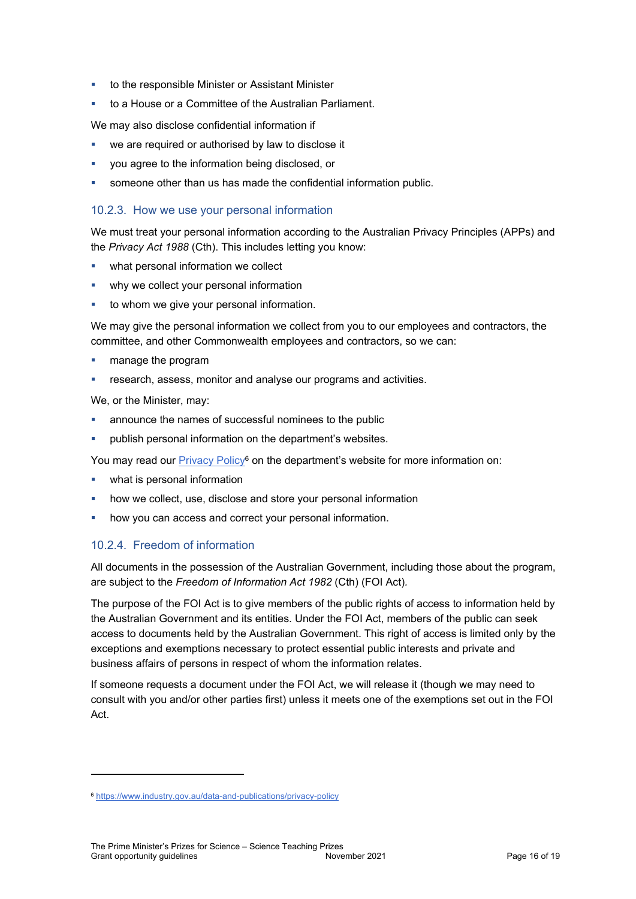- to the responsible Minister or Assistant Minister
- to a House or a Committee of the Australian Parliament.

We may also disclose confidential information if

- we are required or authorised by law to disclose it
- you agree to the information being disclosed, or
- someone other than us has made the confidential information public.

#### <span id="page-15-0"></span>10.2.3. How we use your personal information

We must treat your personal information according to the Australian Privacy Principles (APPs) and the *Privacy Act 1988* (Cth). This includes letting you know:

- **•** what personal information we collect
- why we collect your personal information
- to whom we give your personal information.

We may give the personal information we collect from you to our employees and contractors, the committee, and other Commonwealth employees and contractors, so we can:

- **n** manage the program
- research, assess, monitor and analyse our programs and activities.

We, or the Minister, may:

- announce the names of successful nominees to the public
- publish personal information on the department's websites.

You may read our [Privacy Policy](https://www.industry.gov.au/data-and-publications/privacy-policy)<sup>6</sup> on the department's website for more information on:

- what is personal information
- how we collect, use, disclose and store your personal information
- how you can access and correct your personal information.

#### <span id="page-15-1"></span>10.2.4. Freedom of information

All documents in the possession of the Australian Government, including those about the program, are subject to the *Freedom of Information Act 1982* (Cth) (FOI Act)*.*

The purpose of the FOI Act is to give members of the public rights of access to information held by the Australian Government and its entities. Under the FOI Act, members of the public can seek access to documents held by the Australian Government. This right of access is limited only by the exceptions and exemptions necessary to protect essential public interests and private and business affairs of persons in respect of whom the information relates.

If someone requests a document under the FOI Act, we will release it (though we may need to consult with you and/or other parties first) unless it meets one of the exemptions set out in the FOI Act.

<sup>6</sup> <https://www.industry.gov.au/data-and-publications/privacy-policy>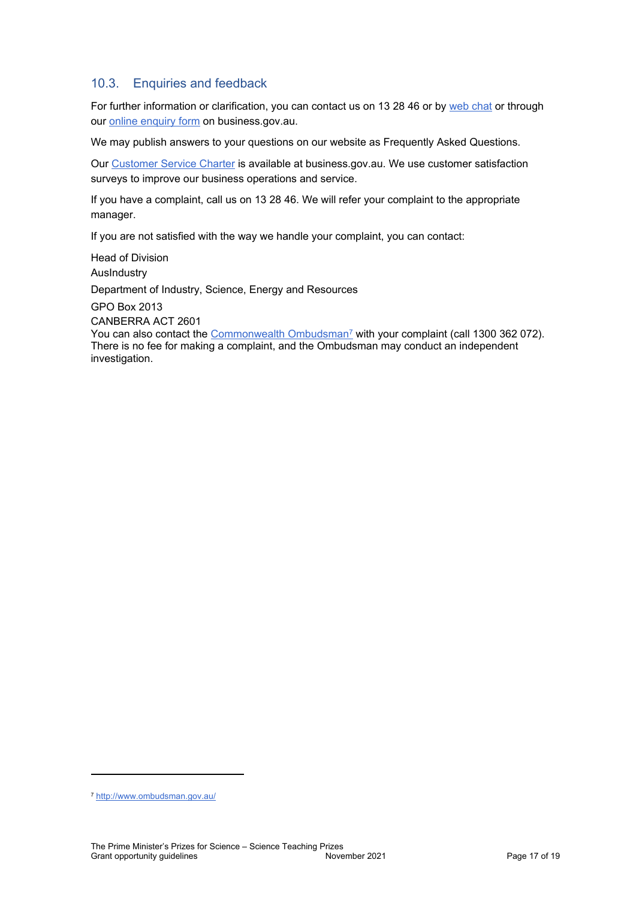# <span id="page-16-0"></span>10.3. Enquiries and feedback

For further information or clarification, you can contact us on 13 28 46 or by [web chat](https://www.business.gov.au/contact-us) or through our [online enquiry form](http://www.business.gov.au/contact-us/Pages/default.aspx) on business.gov.au.

We may publish answers to your questions on our website as Frequently Asked Questions.

Our [Customer Service Charter](https://www.business.gov.au/about/customer-service-charter) is available at [business.gov.au.](http://www.business.gov.au/) We use customer satisfaction surveys to improve our business operations and service.

If you have a complaint, call us on 13 28 46. We will refer your complaint to the appropriate manager.

If you are not satisfied with the way we handle your complaint, you can contact:

Head of Division AusIndustry Department of Industry, Science, Energy and Resources

GPO Box 2013

CANBERRA ACT 2601

You can also contact the [Commonwealth Ombudsman](http://www.ombudsman.gov.au/)<sup>7</sup> with your complaint (call 1300 362 072). There is no fee for making a complaint, and the Ombudsman may conduct an independent investigation.

<sup>7</sup> <http://www.ombudsman.gov.au/>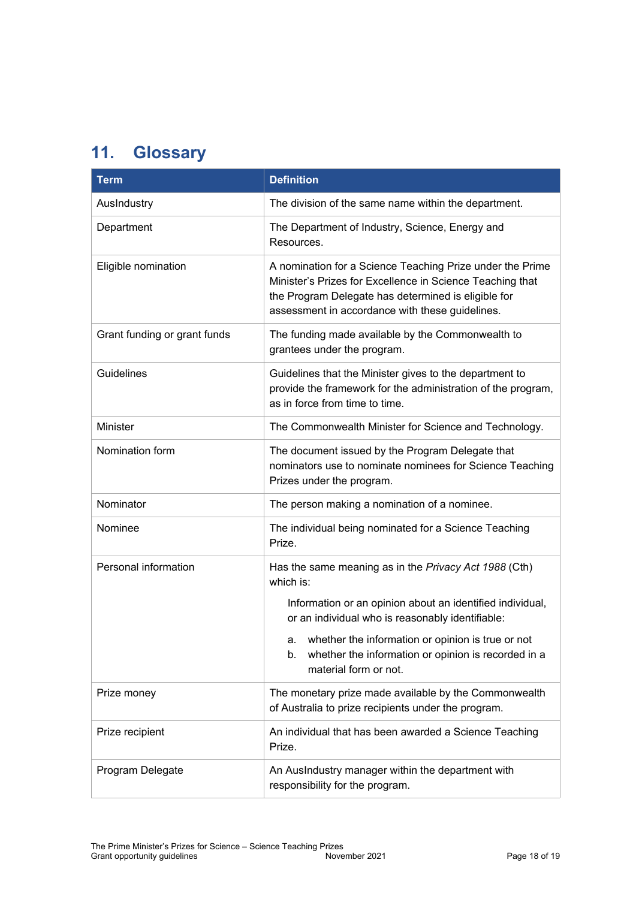# <span id="page-17-0"></span>**11. Glossary**

| <b>Term</b>                  | <b>Definition</b>                                                                                                                                                                                                                |
|------------------------------|----------------------------------------------------------------------------------------------------------------------------------------------------------------------------------------------------------------------------------|
| AusIndustry                  | The division of the same name within the department.                                                                                                                                                                             |
| Department                   | The Department of Industry, Science, Energy and<br>Resources.                                                                                                                                                                    |
| Eligible nomination          | A nomination for a Science Teaching Prize under the Prime<br>Minister's Prizes for Excellence in Science Teaching that<br>the Program Delegate has determined is eligible for<br>assessment in accordance with these guidelines. |
| Grant funding or grant funds | The funding made available by the Commonwealth to<br>grantees under the program.                                                                                                                                                 |
| <b>Guidelines</b>            | Guidelines that the Minister gives to the department to<br>provide the framework for the administration of the program,<br>as in force from time to time.                                                                        |
| Minister                     | The Commonwealth Minister for Science and Technology.                                                                                                                                                                            |
| Nomination form              | The document issued by the Program Delegate that<br>nominators use to nominate nominees for Science Teaching<br>Prizes under the program.                                                                                        |
| Nominator                    | The person making a nomination of a nominee.                                                                                                                                                                                     |
| Nominee                      | The individual being nominated for a Science Teaching<br>Prize.                                                                                                                                                                  |
| Personal information         | Has the same meaning as in the Privacy Act 1988 (Cth)<br>which is:<br>Information or an opinion about an identified individual,                                                                                                  |
|                              | or an individual who is reasonably identifiable:                                                                                                                                                                                 |
|                              | whether the information or opinion is true or not<br>a.<br>whether the information or opinion is recorded in a<br>b.<br>material form or not.                                                                                    |
| Prize money                  | The monetary prize made available by the Commonwealth<br>of Australia to prize recipients under the program.                                                                                                                     |
| Prize recipient              | An individual that has been awarded a Science Teaching<br>Prize.                                                                                                                                                                 |
| Program Delegate             | An AusIndustry manager within the department with<br>responsibility for the program.                                                                                                                                             |